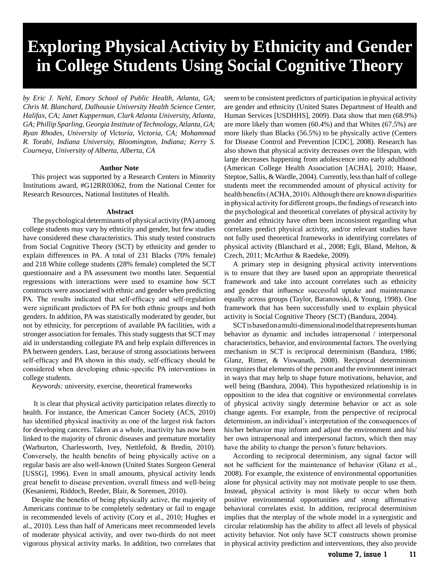# **Exploring Physical Activity by Ethnicity and Gender in College Students Using Social Cognitive Theory**

*by Eric J. Nehl, Emory School of Public Health, Atlanta, GA; Chris M. Blanchard, Dalhousie University Health Science Center, Halifax, CA; Janet Kupperman, Clark Atlanta University, Atlanta, GA; Phillip Sparling, Georgia Institute of Technology, Atlanta, GA; Ryan Rhodes, University of Victoria, Victoria, CA; Mohammad R. Torabi, Indiana University, Bloomington, Indiana; Kerry S. Courneya, University of Alberta, Alberta, CA* 

## **Author Note**

This project was supported by a Research Centers in Minority Institutions award, #G12RR03062, from the National Center for Research Resources, National Institutes of Health.

#### Abstract

 The psychological determinants of physical activity (PA) among college students may vary by ethnicity and gender, but few studies have considered these characteristics. This study tested constructs from Social Cognitive Theory (SCT) by ethnicity and gender to explain differences in PA. A total of 231 Blacks (70% female) and 218 White college students (28% female) completed the SCT questionnaire and a PA assessment two months later. Sequential regressions with interactions were used to examine how SCT constructs were associated with ethnic and gender when predicting PA. The results indicated that self-efficacy and self-regulation were significant predictors of PA for both ethnic groups and both genders. In addition, PA was statistically moderated by gender, but not by ethnicity, for perceptions of available PA facilities, with a stronger association for females. This study suggests that SCT may aid in understanding collegiate PA and help explain differences in PA between genders. Last, because of strong associations between self-efficacy and PA shown in this study, self-efficacy should be considered when developing ethnic-specific PA interventions in college students.

*Keywords:* university, exercise, theoretical frameworks

 It is clear that physical activity participation relates directly to health. For instance, the American Cancer Society (ACS, 2010) has identified physical inactivity as one of the largest risk factors for developing cancers. Taken as a whole, inactivity has now been linked to the majority of chronic diseases and premature mortality (Warburton, Charlesworth, Ivey, Nettlefold, & Bredin, 2010). Conversely, the health benefits of being physically active on a regular basis are also well-known (United States Surgeon General [USSG], 1996). Even in small amounts, physical activity lends great benefit to disease prevention, overall fitness and well-being (Kesaniemi, Riddoch, Reeder, Blair, & Sorensen, 2010).

Despite the benefits of being physically active, the majority of Americans continue to be completely sedentary or fail to engage in recommended levels of activity (Cory et al., 2010; Hughes et al., 2010). Less than half of Americans meet recommended levels of moderate physical activity, and over two-thirds do not meet vigorous physical activity marks. In addition, two correlates that

seem to be consistent predictors of participation in physical activity are gender and ethnicity (United States Department of Health and Human Services [USDHHS], 2009). Data show that men (68.9%) are more likely than women (60.4%) and that Whites (67.5%) are more likely than Blacks (56.5%) to be physically active (Centers for Disease Control and Prevention [CDC], 2008). Research has also shown that physical activity decreases over the lifespan, with large decreases happening from adolescence into early adulthood (American College Health Association [ACHA], 2010; Haase, Steptoe, Sallis, & Wardle, 2004). Currently, less than half of college students meet the recommended amount of physical activity for health benefits (ACHA, 2010). Although there are known disparities in physical activity for different groups, the findings of research into the psychological and theoretical correlates of physical activity by gender and ethnicity have often been inconsistent regarding what correlates predict physical activity, and/or relevant studies have not fully used theoretical frameworks in identifying correlates of physical activity (Blanchard et al., 2008; Egli, Bland, Melton, & Czech, 2011; McArthur & Raedeke, 2009).

A primary step in designing physical activity interventions is to ensure that they are based upon an appropriate theoretical framework and take into account correlates such as ethnicity and gender that influence successful uptake and maintenance equally across groups (Taylor, Baranowski, & Young, 1998). One framework that has been successfully used to explain physical activity is Social Cognitive Theory (SCT) (Bandura, 2004).

SCT is based on a multi-dimensional model that represents human behavior as dynamic and includes intrapersonal / interpersonal characteristics, behavior, and environmental factors. The overlying mechanism in SCT is reciprocal determinism (Bandura, 1986; Glanz, Rimer, & Viswanath, 2008). Reciprocal determinism recognizes that elements of the person and the environment interact in ways that may help to shape future motivations, behavior, and well being (Bandura, 2004). This hypothesized relationship is in opposition to the idea that cognitive or environmental correlates of physical activity singly determine behavior or act as sole change agents. For example, from the perspective of reciprocal determinism, an individual's interpretation of the consequences of his/her behavior may inform and adjust the environment and his/ her own intrapersonal and interpersonal factors, which then may have the ability to change the person's future behaviors.

According to reciprocal determinism, any signal factor will not be sufficient for the maintenance of behavior (Glanz et al., 2008). For example, the existence of environmental opportunities alone for physical activity may not motivate people to use them. Instead, physical activity is most likely to occur when both positive environmental opportunities *and* strong affirmative behavioral correlates exist. In addition, reciprocal determinism implies that the nterplay of the whole model in a synergistic and circular relationship has the ability to affect all levels of physical activity behavior. Not only have SCT constructs shown promise in physical activity prediction and interventions, they also provide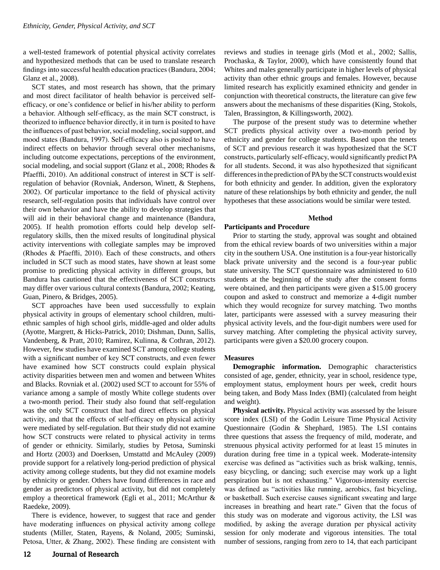a well-tested framework of potential physical activity correlates and hypothesized methods that can be used to translate research findings into successful health education practices (Bandura, 2004; Glanz et al., 2008).

SCT states, and most research has shown, that the primary and most direct facilitator of health behavior is perceived selfefficacy, or one's confidence or belief in his/her ability to perform a behavior. Although self-efficacy, as the main SCT construct, is theorized to influence behavior directly, it in turn is posited to have the influences of past behavior, social modeling, social support, and mood states (Bandura, 1997). Self-efficacy also is posited to have indirect effects on behavior through several other mechanisms, including outcome expectations, perceptions of the environment, social modeling, and social support (Glanz et al., 2008; Rhodes & Pfaeffli, 2010). An additional construct of interest in SCT is selfregulation of behavior (Rovniak, Anderson, Winett, & Stephens, 2002). Of particular importance to the field of physical activity research, self-regulation posits that individuals have control over their own behavior and have the ability to develop strategies that will aid in their behavioral change and maintenance (Bandura, 2005). If health promotion efforts could help develop selfregulatory skills, then the mixed results of longitudinal physical activity interventions with collegiate samples may be improved (Rhodes & Pfaeffli, 2010). Each of these constructs, and others included in SCT such as mood states, have shown at least some promise to predicting physical activity in different groups, but Bandura has cautioned that the effectiveness of SCT constructs may differ over various cultural contexts (Bandura, 2002; Keating, Guan, Pinero, & Bridges, 2005).

SCT approaches have been used successfully to explain physical activity in groups of elementary school children, multiethnic samples of high school girls, middle-aged and older adults (Ayotte, Margrett, & Hicks-Patrick, 2010; Dishman, Dunn, Sallis, Vandenberg, & Pratt, 2010; Ramirez, Kulinna, & Cothran, 2012). However, few studies have examined SCT among college students with a significant number of key SCT constructs, and even fewer have examined how SCT constructs could explain physical activity disparities between men and women and between Whites and Blacks. Rovniak et al. (2002) used SCT to account for 55% of variance among a sample of mostly White college students over a two-month period. Their study also found that self-regulation was the only SCT construct that had direct effects on physical activity, and that the effects of self-efficacy on physical activity were mediated by self-regulation. But their study did not examine how SCT constructs were related to physical activity in terms of gender or ethnicity. Similarly, studies by Petosa, Suminski and Hortz (2003) and Doerksen, Umstattd and McAuley (2009) provide support for a relatively long-period prediction of physical activity among college students, but they did not examine models by ethnicity or gender. Others have found differences in race and gender as predictors of physical activity, but did not completely employ a theoretical framework (Egli et al., 2011; McArthur & Raedeke, 2009).

There is evidence, however, to suggest that race and gender have moderating influences on physical activity among college students (Miller, Staten, Rayens, & Noland, 2005; Suminski, Petosa, Utter, & Zhang, 2002). These finding are consistent with reviews and studies in teenage girls (Motl et al., 2002; Sallis, Prochaska, & Taylor, 2000), which have consistently found that Whites and males generally participate in higher levels of physical activity than other ethnic groups and females. However, because limited research has explicitly examined ethnicity and gender in conjunction with theoretical constructs, the literature can give few answers about the mechanisms of these disparities (King, Stokols, Talen, Brassington, & Killingsworth, 2002).

The purpose of the present study was to determine whether SCT predicts physical activity over a two-month period by ethnicity and gender for college students. Based upon the tenets of SCT and previous research it was hypothesized that the SCT constructs, particularly self-efficacy, would significantly predict PA for all students. Second, it was also hypothesized that significant differences in the prediction of PA by the SCT constructs would exist for both ethnicity and gender. In addition, given the exploratory nature of these relationships by both ethnicity and gender, the null hypotheses that these associations would be similar were tested.

## **Method**

## **Participants and Procedure**

Prior to starting the study, approval was sought and obtained from the ethical review boards of two universities within a major city in the southern USA. One institution is a four-year historically black private university and the second is a four-year public state university. The SCT questionnaire was administered to 610 students at the beginning of the study after the consent forms were obtained, and then participants were given a \$15.00 grocery coupon and asked to construct and memorize a 4-digit number which they would recognize for survey matching. Two months later, participants were assessed with a survey measuring their physical activity levels, and the four-digit numbers were used for survey matching. After completing the physical activity survey, participants were given a \$20.00 grocery coupon.

## **Measures**

Demographic information. Demographic characteristics consisted of age, gender, ethnicity, year in school, residence type, employment status, employment hours per week, credit hours being taken, and Body Mass Index (BMI) (calculated from height and weight).

**Physical activity.** Physical activity was assessed by the leisure score index (LSI) of the Godin Leisure Time Physical Activity Questionnaire (Godin & Shephard, 1985). The LSI contains three questions that assess the frequency of mild, moderate, and strenuous physical activity performed for at least 15 minutes in duration during free time in a typical week. Moderate-intensity exercise was defined as "activities such as brisk walking, tennis, easy bicycling, or dancing; such exercise may work up a light perspiration but is not exhausting." Vigorous-intensity exercise was defined as "activities like running, aerobics, fast bicycling, or basketball. Such exercise causes significant sweating and large increases in breathing and heart rate." Given that the focus of this study was on moderate and vigorous activity, the LSI was modified, by asking the average duration per physical activity session for only moderate and vigorous intensities. The total number of sessions, ranging from zero to 14, that each participant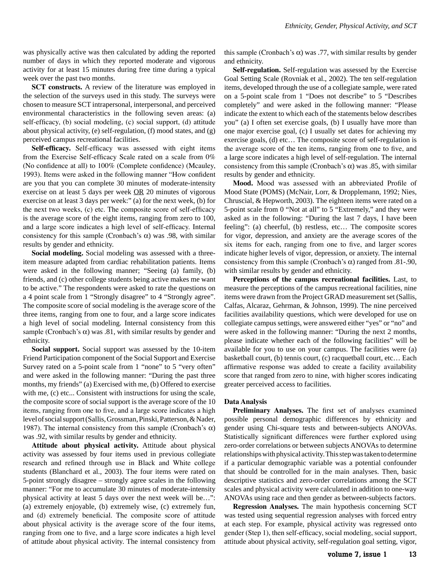was physically active was then calculated by adding the reported number of days in which they reported moderate and vigorous activity for at least 15 minutes during free time during a typical week over the past two months.

**SCT constructs.** A review of the literature was employed in the selection of the surveys used in this study. The surveys were chosen to measure SCT intrapersonal, interpersonal, and perceived environmental characteristics in the following seven areas: (a) self-efficacy, (b) social modeling, (c) social support, (d) attitude about physical activity, (e) self-regulation, (f) mood states, and (g) perceived campus recreational facilities.

**Self-efficacy.** Self-efficacy was assessed with eight items from the Exercise Self-efficacy Scale rated on a scale from 0% (No confidence at all) to 100% (Complete confidence) (Mcauley, 1993). Items were asked in the following manner "How confident are you that you can complete 30 minutes of moderate-intensity exercise on at least 5 days per week  $\overline{OR}$  20 minutes of vigorous exercise on at least 3 days per week:" (a) for the next week, (b) for the next two weeks, (c) etc. The composite score of self-efficacy is the average score of the eight items, ranging from zero to 100, and a large score indicates a high level of self-efficacy. Internal consistency for this sample (Cronbach's  $\alpha$ ) was .98, with similar results by gender and ethnicity.

Social modeling. Social modeling was assessed with a threeitem measure adapted from cardiac rehabilitation patients. Items were asked in the following manner; "Seeing (a) family, (b) friends, and (c) other college students being active makes me want to be active." The respondents were asked to rate the questions on a 4 point scale from 1 "Strongly disagree" to 4 "Strongly agree". The composite score of social modeling is the average score of the three items, ranging from one to four, and a large score indicates a high level of social modeling. Internal consistency from this sample (Cronbach's  $\alpha$ ) was .81, with similar results by gender and ethnicity.

**Social support.** Social support was assessed by the 10-item Friend Participation component of the Social Support and Exercise Survey rated on a 5-point scale from 1 "none" to 5 "very often" and were asked in the following manner: "During the past three months, my friends" (a) Exercised with me, (b) Offered to exercise with me, (c) etc... Consistent with instructions for using the scale, the composite score of social support is the average score of the 10 items, ranging from one to five, and a large score indicates a high level of social support (Sallis, Grossman, Pinski, Patterson, & Nader, 1987). The internal consistency from this sample (Cronbach's  $\alpha$ ) was .92, with similar results by gender and ethnicity.

Attitude about physical activity. Attitude about physical activity was assessed by four items used in previous collegiate research and refined through use in Black and White college students (Blanchard et al., 2003). The four items were rated on 5-point strongly disagree – strongly agree scales in the following manner: "For me to accumulate 30 minutes of moderate-intensity physical activity at least 5 days over the next week will be…": (a) extremely enjoyable, (b) extremely wise, (c) extremely fun, and (d) extremely beneficial. The composite score of attitude about physical activity is the average score of the four items, ranging from one to five, and a large score indicates a high level of attitude about physical activity. The internal consistency from

this sample (Cronbach's  $\alpha$ ) was .77, with similar results by gender and ethnicity.

**Self-regulation.** Self-regulation was assessed by the Exercise Goal Setting Scale (Rovniak et al., 2002). The ten self-regulation items, developed through the use of a collegiate sample, were rated on a 5-point scale from 1 "Does not describe" to 5 "Describes completely" and were asked in the following manner: "Please indicate the extent to which each of the statements below describes you" (a) I often set exercise goals, (b) I usually have more than one major exercise goal, (c) I usually set dates for achieving my exercise goals, (d) etc… The composite score of self-regulation is the average score of the ten items, ranging from one to five, and a large score indicates a high level of self-regulation. The internal consistency from this sample (Cronbach's  $\alpha$ ) was .85, with similar results by gender and ethnicity.

Mood. Mood was assessed with an abbreviated Profile of Mood State (POMS) (McNair, Lorr, & Dropplemann, 1992; Nies, Chruscial, & Hepworth, 2003). The eighteen items were rated on a 5-point scale from 0 "Not at all" to 5 "Extremely," and they were asked as in the following: "During the last 7 days, I have been feeling": (a) cheerful, (b) restless, etc… The composite scores for vigor, depression, and anxiety are the average scores of the six items for each, ranging from one to five, and larger scores indicate higher levels of vigor, depression, or anxiety. The internal consistency from this sample (Cronbach's  $\alpha$ ) ranged from .81-.90, with similar results by gender and ethnicity.

Perceptions of the campus recreational facilities. Last, to measure the perceptions of the campus recreational facilities, nine items were drawn from the Project GRAD measurement set (Sallis, Calfas, Alcaraz, Gehrman, & Johnson, 1999). The nine perceived facilities availability questions, which were developed for use on collegiate campus settings, were answered either "yes" or "no" and were asked in the following manner: "During the next 2 months, please indicate whether each of the following facilities" will be available for you to use on your campus. The facilities were (a) basketball court, (b) tennis court, (c) racquetball court, etc… Each affirmative response was added to create a facility availability score that ranged from zero to nine, with higher scores indicating greater perceived access to facilities.

#### Data Analysis

**Preliminary Analyses.** The first set of analyses examined possible personal demographic differences by ethnicity and gender using Chi-square tests and between-subjects ANOVAs. Statistically significant differences were further explored using zero-order correlations or between subjects ANOVAs to determine relationships with physical activity. This step was taken to determine if a particular demographic variable was a potential confounder that should be controlled for in the main analyses. Then, basic descriptive statistics and zero-order correlations among the SCT scales and physical activity were calculated in addition to one-way ANOVAs using race and then gender as between-subjects factors.

**Regression Analyses.** The main hypothesis concerning SCT was tested using sequential regression analyses with forced entry at each step. For example, physical activity was regressed onto gender (Step 1), then self-efficacy, social modeling, social support, attitude about physical activity, self-regulation goal setting, vigor,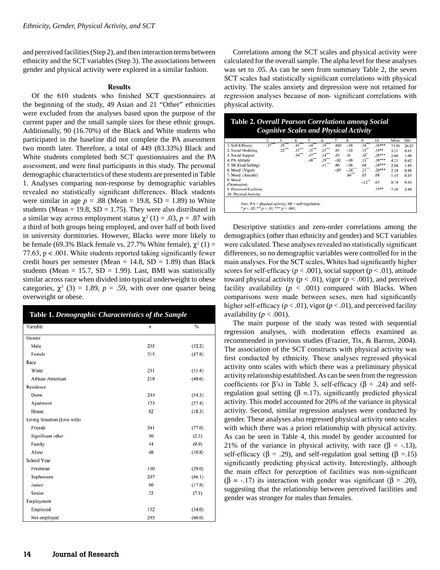and perceived facilities (Step 2), and then interaction terms between ethnicity and the SCT variables (Step 3). The associations between gender and physical activity were explored in a similar fashion.

## **Results**

Of the 610 students who finished SCT questionnaires at the beginning of the study, 49 Asian and 21 "Other" ethnicities were excluded from the analyses based upon the purpose of the current paper and the small sample sizes for these ethnic groups. Additionally, 90 (16.70%) of the Black and White students who participated in the baseline did not complete the PA assessment two month later. Therefore, a total of 449 (83.33%) Black and White students completed both SCT questionnaires and the PA assessment, and were final participants in this study. The personal demographic characteristics of these students are presented in Table 1. Analyses comparing non-response by demographic variables revealed no statistically significant differences. Black students were similar in age  $p = .88$  (Mean = 19.8, SD = 1.89) to White students (Mean = 19.8,  $SD = 1.75$ ). They were also distributed in a similar way across employment status  $\chi^2$  (1) = .03, *p* = .87 with a third of both groups being employed, and over half of both lived in university dormitories. However, Blacks were more likely to be female (69.3% Black female vs. 27.7% White female),  $\chi^2(1)$  = 77.63,  $p < .001$ . White students reported taking significantly fewer credit hours per semester (Mean  $= 14.8$ , SD  $= 1.89$ ) than Black students (Mean = 15.7,  $SD = 1.99$ ). Last, BMI was statistically similar across race when divided into typical underweight to obese categories,  $\chi^2$  (3) = 1.89,  $p = .59$ , with over one quarter being overweight or obese.

| Variable                     | $\boldsymbol{n}$ | $\frac{0}{0}$ |
|------------------------------|------------------|---------------|
| Gender                       |                  |               |
| Male                         | 235              | (52.2)        |
| Female                       | 215              | (47.8)        |
| Race                         |                  |               |
| White                        | 231              | (51.4)        |
| African American             | 218              | (48.6)        |
| Residence                    |                  |               |
| Dorm                         | 244              | (54.3)        |
| Apartment                    | 123              | (27.4)        |
| House                        | 82               | (18.3)        |
| Living Situation (Live with) |                  |               |
| Friends                      | 341              | (77.0)        |
| Significant other            | 10               | (2.3)         |
| Family                       | 44               | (9.9)         |
| Alone                        | 48               | (10.8)        |
| School Year                  |                  |               |
| Freshman                     | 130              | (29.0)        |
| Sophomore                    | 207              | (46.1)        |
| Junior                       | 80               | (17.8)        |
| Senior                       | 32               | (7.1)         |
| Employment                   |                  |               |
| Employed                     | 152              | (34.0)        |
| Not employed                 | 295              | (66.0)        |

Correlations among the SCT scales and physical activity were calculated for the overall sample. The alpha level for these analyses was set to .05. As can be seen from summary Table 2, the seven SCT scales had statistically significant correlations with physical activity. The scales anxiety and depression were not retained for regression analyses because of non-significant correlations with physical activity.

| Table 2. Overall Pearson Correlations among Social |
|----------------------------------------------------|
| <b>Cognitive Scales and Physical Activity</b>      |

|                         |     | 3.        |          |          | 6.                  |        | 8.       | 9.        | 10.      | Mean  | <b>SD</b> |
|-------------------------|-----|-----------|----------|----------|---------------------|--------|----------|-----------|----------|-------|-----------|
| 1. Self-Efficacy        | .17 | .35       | .41      | .44      | $.35$ <sup>**</sup> | .002   | $-0.08$  | .24       | $.36***$ | 71.98 | 26.25     |
| 2. Social Modeling      |     | $.22$ *** | $.35***$ | $.35***$ | $.23***$            | .03    | $-.02$   | .13"      | $.14**$  | 3.21  | 0.65      |
| 3. Social Support       |     |           | $.34***$ | $.47***$ | $.34$ ***           | .05    | .01      | .10       | $.28***$ | 2.60  | 1.00      |
| 4. PA Attitude          |     |           |          | $.48***$ | $.29***$            | $-.02$ | $-.08$   | .13"      | $.18***$ | 4.21  | 0.62      |
| 5. SR (Goal Setting)    |     |           |          |          | $.41$ ***           | .06    | $-0.06$  | .04       | 34***    | 2.84  | 1.03      |
| 6. Mood (Vigor)         |     |           |          |          |                     | $-.05$ | $-.24$   | $.21$ *** | $.26***$ | 2.24  | 0.88      |
| 7. Mood (Anxiety)       |     |           |          |          |                     |        | $.66***$ | .03       | .08      | 1.43  | 0.85      |
| 8. Mood                 |     |           |          |          |                     |        |          | $-.12$    | .03      | 0.74  | 0.83      |
| (Depression)            |     |           |          |          |                     |        |          |           |          |       |           |
| 9. Perceived Facilities |     |           |          |          |                     |        |          |           | $.15**$  | 7.59  | 2.09      |
| 10. Physical Activity   |     |           |          |          |                     |        |          |           |          |       |           |

Descriptive statistics and zero-order correlations among the demographics (other than ethnicity and gender) and SCT variables were calculated. These analyses revealed no statistically significant differences, so no demographic variables were controlled for in the main analyses. For the SCT scales, Whites had significantly higher scores for self-efficacy ( $p < .001$ ), social support ( $p < .01$ ), attitude toward physical activity ( $p < .01$ ), vigor ( $p < .001$ ), and perceived facility availability  $(p < .001)$  compared with Blacks. When comparisons were made between sexes, men had significantly higher self-efficacy ( $p < .01$ ), vigor ( $p < .01$ ), and perceived facility availability ( $p < .001$ ).

The main purpose of the study was tested with sequential regression analyses, with moderation effects examined as recommended in previous studies (Frazier, Tix, & Barron, 2004). The association of the SCT constructs with physical activity was first conducted by ethnicity. These analyses regressed physical activity onto scales with which there was a preliminary physical activity relationship established. As can be seen from the regression coefficients (or  $\beta$ 's) in Table 3, self-efficacy ( $\beta$  = .24) and selfregulation goal setting ( $\beta = 17$ ), significantly predicted physical activity. This model accounted for 20% of the variance in physical activity. Second, similar regression analyses were conducted by gender. These analyses also regressed physical activity onto scales with which there was a priori relationship with physical activity. As can be seen in Table 4, this model by gender accounted for 21% of the variance in physical activity, with race ( $\beta$  = -.13), self-efficacy ( $\beta = .29$ ), and self-regulation goal setting ( $\beta = .15$ ) significantly predicting physical activity. Interestingly, although the main effect for perception of facilities was non-significant  $(\beta = -17)$  its interaction with gender was significant  $(\beta = .20)$ , suggesting that the relationship between perceived facilities and gender was stronger for males than females.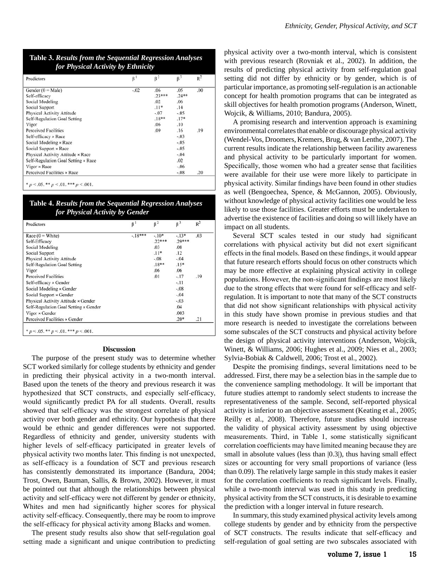| Predictors                          | $\beta^1$ | $\beta^2$ | $\beta^3$ | $R^2$ |
|-------------------------------------|-----------|-----------|-----------|-------|
| Gender $(0 = Male)$                 | $-.02$    | .06       | .05       | .00   |
| Self-efficacy                       |           | $.23***$  | $.24**$   |       |
| Social Modeling                     |           | .02       | .06       |       |
| Social Support                      |           | $.11*$    | .14       |       |
| Physical Activity Attitude          |           | $-.07$    | $-.05$    |       |
| <b>Self-Regulation Goal Setting</b> |           | $.18***$  | $.17*$    |       |
| Vigor                               |           | .06       | .10       |       |
| <b>Perceived Facilities</b>         |           | .09       | .16       | .19   |
| Self-efficacy × Race                |           |           | $-.03$    |       |
| Social Modeling × Race              |           |           | $-.05$    |       |
| Social Support × Race               |           |           | $-.05$    |       |
| Physical Activity Attitude × Race   |           |           | $-.04$    |       |
| Self-Regulation Goal Setting × Race |           |           | .02       |       |
| Vigor × Race                        |           |           | $-0.06$   |       |
| Perceived Facilities × Race         |           |           | $-.08$    | .20   |

| Table 3. Results from the Sequential Regression Analyses |
|----------------------------------------------------------|
| for Physical Activity by Ethnicity                       |

| Table 4. Results from the Sequential Regression Analyses |
|----------------------------------------------------------|
| for Physical Activity by Gender                          |

| Predictors                            | $\beta^1$ | $\beta^2$ | $\beta^3$ | R <sup>2</sup> |
|---------------------------------------|-----------|-----------|-----------|----------------|
| Race $(0 = White)$                    | $-.18***$ | $-.10*$   | $-13*$    | .03            |
| Self-Efficacy                         |           | $.22***$  | $.29***$  |                |
| Social Modeling                       |           | .03       | .08       |                |
| <b>Social Support</b>                 |           | $.11*$    | .12       |                |
| <b>Physical Activity Attitude</b>     |           | $-.08$    | $-.04$    |                |
| Self-Regulation Goal Setting          |           | $.18**$   | $.15*$    |                |
| Vigor                                 |           | .06       | .06       |                |
| <b>Perceived Facilities</b>           |           | .01       | $-.17$    | .19            |
| Self-efficacy × Gender                |           |           | $-.11$    |                |
| Social Modeling × Gender              |           |           | $-.08$    |                |
| Social Support × Gender               |           |           | $-.04$    |                |
| Physical Activity Attitude × Gender   |           |           | $-.03$    |                |
| Self-Regulation Goal Setting × Gender |           |           | .04       |                |
| Vigor × Gender                        |           |           | .003      |                |
| Perceived Facilities × Gender         |           |           | $.20*$    | .21            |

#### **Discussion**

The purpose of the present study was to determine whether SCT worked similarly for college students by ethnicity and gender in predicting their physical activity in a two-month interval. Based upon the tenets of the theory and previous research it was hypothesized that SCT constructs, and especially self-efficacy, would significantly predict PA for all students. Overall, results showed that self-efficacy was the strongest correlate of physical activity over both gender and ethnicity. Our hypothesis that there would be ethnic and gender differences were not supported. Regardless of ethnicity and gender, university students with higher levels of self-efficacy participated in greater levels of physical activity two months later. This finding is not unexpected, as self-efficacy is a foundation of SCT and previous research has consistently demonstrated its importance (Bandura, 2004; Trost, Owen, Bauman, Sallis, & Brown, 2002). However, it must be pointed out that although the relationships between physical activity and self-efficacy were not different by gender or ethnicity, Whites and men had significantly higher scores for physical activity self-efficacy. Consequently, there may be room to improve the self-efficacy for physical activity among Blacks and women.

The present study results also show that self-regulation goal setting made a significant and unique contribution to predicting physical activity over a two-month interval, which is consistent with previous research (Rovniak et al., 2002). In addition, the results of predicting physical activity from self-regulation goal setting did not differ by ethnicity or by gender, which is of particular importance, as promoting self-regulation is an actionable concept for health promotion programs that can be integrated as skill objectives for health promotion programs (Anderson, Winett, Wojcik, & Williams, 2010; Bandura, 2005).

A promising research and intervention approach is examining environmental correlates that enable or discourage physical activity (Wendel-Vos, Droomers, Kremers, Brug, & van Lenthe, 2007). The current results indicate the relationship between facility awareness and physical activity to be particularly important for women. Specifically, those women who had a greater sense that facilities were available for their use were more likely to participate in physical activity. Similar findings have been found in other studies as well (Bengoechea, Spence, & McGannon, 2005). Obviously, without knowledge of physical activity facilities one would be less likely to use those facilities. Greater efforts must be undertaken to advertise the existence of facilities and doing so will likely have an impact on all students.

Several SCT scales tested in our study had significant correlations with physical activity but did not exert significant effects in the final models. Based on these findings, it would appear that future research efforts should focus on other constructs which may be more effective at explaining physical activity in college populations. However, the non-significant findings are most likely due to the strong effects that were found for self-efficacy and selfregulation. It is important to note that many of the SCT constructs that did not show significant relationships with physical activity in this study have shown promise in previous studies and that more research is needed to investigate the correlations between some subscales of the SCT constructs and physical activity before the design of physical activity interventions (Anderson, Wojcik, Winett, & Williams, 2006; Hughes et al., 2009; Nies et al., 2003; Sylvia-Bobiak & Caldwell, 2006; Trost et al., 2002).

Despite the promising findings, several limitations need to be addressed. First, there may be a selection bias in the sample due to the convenience sampling methodology. It will be important that future studies attempt to randomly select students to increase the representativeness of the sample. Second, self-reported physical activity is inferior to an objective assessment (Keating et al., 2005; Reilly et al., 2008). Therefore, future studies should increase the validity of physical activity assessment by using objective measurements. Third, in Table 1, some statistically significant correlation coefficients may have limited meaning because they are small in absolute values (less than  $(0.3)$ ), thus having small effect sizes or accounting for very small proportions of variance (less than 0.09). The relatively large sample in this study makes it easier for the correlation coefficients to reach significant levels. Finally, while a two-month interval was used in this study in predicting physical activity from the SCT constructs, it is desirable to examine the prediction with a longer interval in future research.

In summary, this study examined physical activity levels among college students by gender and by ethnicity from the perspective of SCT constructs. The results indicate that self-efficacy and self-regulation of goal setting are two subscales associated with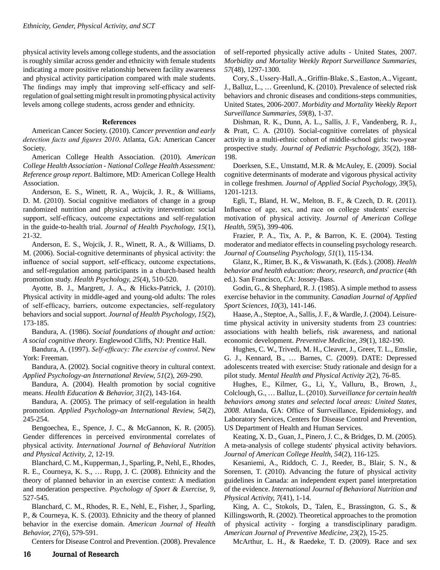physical activity levels among college students, and the association is roughly similar across gender and ethnicity with female students indicating a more positive relationship between facility awareness and physical activity participation compared with male students. The findings may imply that improving self-efficacy and selfregulation of goal setting might result in promoting physical activity levels among college students, across gender and ethnicity.

## **References**

American Cancer Society. (2010). C*ancer prevention and early detection facts and figures 2010.* Atlanta, GA: American Cancer Society.

American College Health Association. (2010). *American College Health Association - National College Health Assessment: Reference group report*. Baltimore, MD: American College Health Association.

Anderson, E. S., Winett, R. A., Wojcik, J. R., & Williams, D. M. (2010). Social cognitive mediators of change in a group randomized nutrition and physical activity intervention: social support, self-efficacy, outcome expectations and self-regulation in the guide-to-health trial. *Journal of Health Psychology, 15*(1), 21-32.

Anderson, E. S., Wojcik, J. R., Winett, R. A., & Williams, D. M. (2006). Social-cognitive determinants of physical activity: the influence of social support, self-efficacy, outcome expectations, and self-regulation among participants in a church-based health promotion study. *Health Psychology, 25*(4), 510-520.

Ayotte, B. J., Margrett, J. A., & Hicks-Patrick, J. (2010). Physical activity in middle-aged and young-old adults: The roles of self-efficacy, barriers, outcome expectancies, self-regulatory behaviors and social support. *Journal of Health Psychology, 15*(2), 173-185.

Bandura, A. (1986). *Social foundations of thought and action: A social cognitive theory*. Englewood Cliffs, NJ: Prentice Hall.

Bandura, A. (1997). *Self-efficacy: The exercise of control*. New York: Freeman.

Bandura, A. (2002). Social cognitive theory in cultural context. *Applied Psychology-an International Review, 51*(2), 269-290.

Bandura, A. (2004). Health promotion by social cognitive means. *Health Education & Behavior, 31*(2), 143-164.

Bandura, A. (2005). The primacy of self-regulation in health promotion. *Applied Psychology-an International Review, 54*(2), 245-254.

Bengoechea, E., Spence, J. C., & McGannon, K. R. (2005). Gender differences in perceived environmental correlates of physical activity. *International Journal of Behavioral Nutrition and Physical Activity, 2*, 12-19.

Blanchard, C. M., Kupperman, J., Sparling, P., Nehl, E., Rhodes, R. E., Courneya, K. S., … Rupp, J. C. (2008). Ethnicity and the theory of planned behavior in an exercise context: A mediation and moderation perspective. *Psychology of Sport & Exercise, 9*, 527-545.

Blanchard, C. M., Rhodes, R. E., Nehl, E., Fisher, J., Sparling, P., & Courneya, K. S. (2003). Ethnicity and the theory of planned behavior in the exercise domain. *American Journal of Health Behavior, 27*(6), 579-591.

Centers for Disease Control and Prevention. (2008). Prevalence

of self-reported physically active adults - United States, 2007. *Morbidity and Mortality Weekly Report Surveillance Summaries, 57*(48), 1297-1300.

Cory, S., Ussery-Hall, A., Griffin-Blake, S., Easton, A., Vigeant, J., Balluz, L., … Greenlund, K. (2010). Prevalence of selected risk behaviors and chronic diseases and conditions-steps communities, United States, 2006-2007. *Morbidity and Mortality Weekly Report Surveillance Summaries, 59*(8), 1-37.

Dishman, R. K., Dunn, A. L., Sallis, J. F., Vandenberg, R. J., & Pratt, C. A. (2010). Social-cognitive correlates of physical activity in a multi-ethnic cohort of middle-school girls: two-year prospective study. *Journal of Pediatric Psychology, 35*(2), 188- 198.

Doerksen, S.E., Umstattd, M.R. & McAuley, E. (2009). Social cognitive determinants of moderate and vigorous physical activity in college freshmen. *Journal of Applied Social Psychology, 39*(5), 1201-1213.

Egli, T., Bland, H. W., Melton, B. F., & Czech, D. R. (2011). Influence of age, sex, and race on college students' exercise motivation of physical activity. *Journal of American College Health, 59*(5), 399-406.

Frazier, P. A., Tix, A. P., & Barron, K. E. (2004). Testing moderator and mediator effects in counseling psychology research. *Journal of Counseling Psychology, 51*(1), 115-134.

Glanz, K., Rimer, B. K., & Viswanath, K. (Eds.). (2008). *Health behavior and health education: theory, research, and practice* (4th ed.). San Francisco, CA: Jossey-Bass.

Godin, G., & Shephard, R. J. (1985). A simple method to assess exercise behavior in the community. *Canadian Journal of Applied Sport Sciences, 10*(3), 141-146.

Haase, A., Steptoe, A., Sallis, J. F., & Wardle, J. (2004). Leisuretime physical activity in university students from 23 countries: associations with health beliefs, risk awareness, and national economic development. *Preventive Medicine, 39*(1), 182-190.

Hughes, C. W., Trivedi, M. H., Cleaver, J., Greer, T. L., Emslie, G. J., Kennard, B., … Barnes, C. (2009). DATE: Depressed adolescents treated with exercise: Study rationale and design for a pilot study. *Mental Health and Physical Activity 2*(2), 76-85.

Hughes, E., Kilmer, G., Li, Y., Valluru, B., Brown, J., Colclough, G., … Balluz, L. (2010). *Surveillance for certain health behaviors among states and selected local areas: United States,*  2008. Atlanda, GA: Office of Surrveillance, Epidemiology, and Laboratory Services, Centers for Disease Control and Prevention, US Department of Health and Human Services.

Keating, X. D., Guan, J., Pinero, J. C., & Bridges, D. M. (2005). A meta-analysis of college students' physical activity behaviors. *Journal of American College Health, 54*(2), 116-125.

Kesaniemi, A., Riddoch, C. J., Reeder, B., Blair, S. N., & Sorensen, T. (2010). Advancing the future of physical activity guidelines in Canada: an independent expert panel interpretation of the evidence. *International Journal of Behavioral Nutrition and Physical Activity, 7*(41), 1-14.

King, A. C., Stokols, D., Talen, E., Brassington, G. S., & Killingsworth, R. (2002). Theoretical approaches to the promotion of physical activity - forging a transdisciplinary paradigm. *American Journal of Preventive Medicine, 23*(2), 15-25.

McArthur, L. H., & Raedeke, T. D. (2009). Race and sex